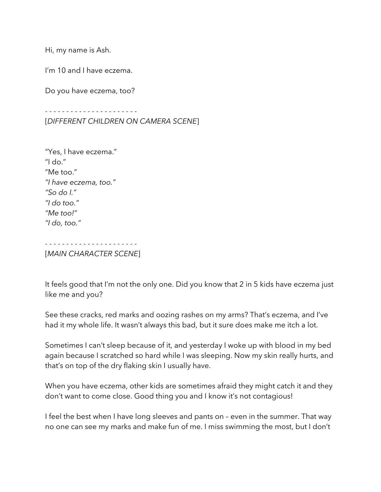Hi, my name is Ash.

I'm 10 and I have eczema.

Do you have eczema, too?

- - - - - - - - - - - - - - - - - - - - - - [*DIFFERENT CHILDREN ON CAMERA SCENE*]

"Yes, I have eczema." "I do." "Me too." *"I have eczema, too." "So do I." "I do too." "Me too!" "I do, too."*

- - - - - - - - - - - - - - - - - - - - - - [*MAIN CHARACTER SCENE*]

It feels good that I'm not the only one. Did you know that 2 in 5 kids have eczema just like me and you?

See these cracks, red marks and oozing rashes on my arms? That's eczema, and I've had it my whole life. It wasn't always this bad, but it sure does make me itch a lot.

Sometimes I can't sleep because of it, and yesterday I woke up with blood in my bed again because I scratched so hard while I was sleeping. Now my skin really hurts, and that's on top of the dry flaking skin I usually have.

When you have eczema, other kids are sometimes afraid they might catch it and they don't want to come close. Good thing you and I know it's not contagious!

I feel the best when I have long sleeves and pants on – even in the summer. That way no one can see my marks and make fun of me. I miss swimming the most, but I don't